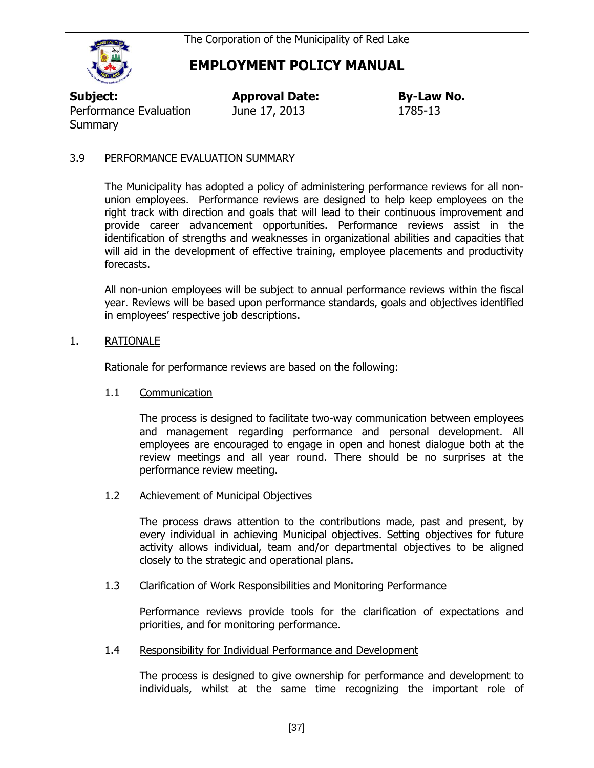

## **EMPLOYMENT POLICY MANUAL**

| Subject:                          | <b>Approval Date:</b> | <b>By-Law No.</b> |
|-----------------------------------|-----------------------|-------------------|
| Performance Evaluation<br>Summary | June 17, 2013         | 1785-13           |

#### 3.9 PERFORMANCE EVALUATION SUMMARY

The Municipality has adopted a policy of administering performance reviews for all nonunion employees. Performance reviews are designed to help keep employees on the right track with direction and goals that will lead to their continuous improvement and provide career advancement opportunities. Performance reviews assist in the identification of strengths and weaknesses in organizational abilities and capacities that will aid in the development of effective training, employee placements and productivity forecasts.

All non-union employees will be subject to annual performance reviews within the fiscal year. Reviews will be based upon performance standards, goals and objectives identified in employees' respective job descriptions.

#### 1. RATIONALE

Rationale for performance reviews are based on the following:

#### 1.1 Communication

The process is designed to facilitate two-way communication between employees and management regarding performance and personal development. All employees are encouraged to engage in open and honest dialogue both at the review meetings and all year round. There should be no surprises at the performance review meeting.

#### 1.2 Achievement of Municipal Objectives

The process draws attention to the contributions made, past and present, by every individual in achieving Municipal objectives. Setting objectives for future activity allows individual, team and/or departmental objectives to be aligned closely to the strategic and operational plans.

#### 1.3 Clarification of Work Responsibilities and Monitoring Performance

Performance reviews provide tools for the clarification of expectations and priorities, and for monitoring performance.

#### 1.4 Responsibility for Individual Performance and Development

The process is designed to give ownership for performance and development to individuals, whilst at the same time recognizing the important role of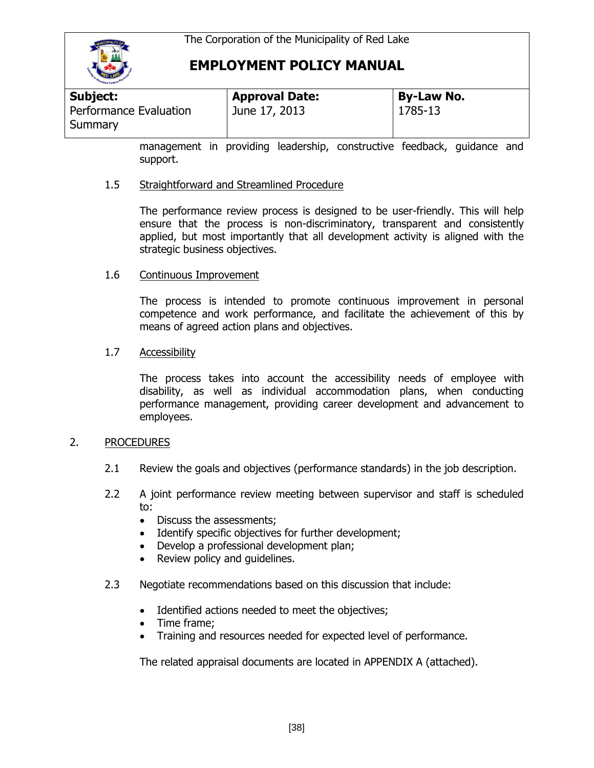

## **EMPLOYMENT POLICY MANUAL**

| <b>Subject:</b>                   | <b>Approval Date:</b> | <b>By-Law No.</b> |
|-----------------------------------|-----------------------|-------------------|
| Performance Evaluation<br>Summary | June 17, 2013         | 1785-13           |

management in providing leadership, constructive feedback, guidance and support.

#### 1.5 Straightforward and Streamlined Procedure

The performance review process is designed to be user-friendly. This will help ensure that the process is non-discriminatory, transparent and consistently applied, but most importantly that all development activity is aligned with the strategic business objectives.

#### 1.6 Continuous Improvement

The process is intended to promote continuous improvement in personal competence and work performance, and facilitate the achievement of this by means of agreed action plans and objectives.

#### 1.7 Accessibility

The process takes into account the accessibility needs of employee with disability, as well as individual accommodation plans, when conducting performance management, providing career development and advancement to employees.

#### 2. PROCEDURES

- 2.1 Review the goals and objectives (performance standards) in the job description.
- 2.2 A joint performance review meeting between supervisor and staff is scheduled to:
	- Discuss the assessments:
	- Identify specific objectives for further development;
	- Develop a professional development plan;
	- Review policy and guidelines.
- 2.3 Negotiate recommendations based on this discussion that include:
	- Identified actions needed to meet the objectives;
	- Time frame;
	- Training and resources needed for expected level of performance.

The related appraisal documents are located in APPENDIX A (attached).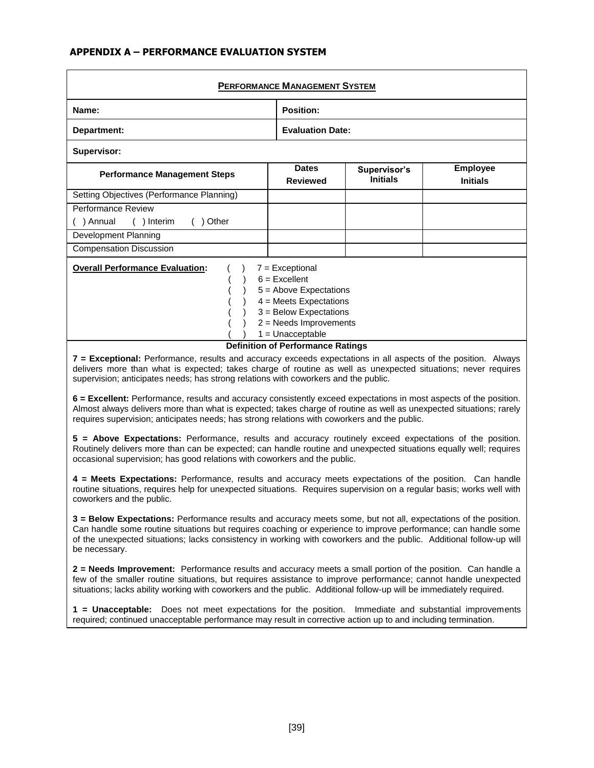#### **APPENDIX A – PERFORMANCE EVALUATION SYSTEM**

| <b>PERFORMANCE MANAGEMENT SYSTEM</b>                                                                                                                                                                                                                             |                                 |                                 |                                    |  |  |
|------------------------------------------------------------------------------------------------------------------------------------------------------------------------------------------------------------------------------------------------------------------|---------------------------------|---------------------------------|------------------------------------|--|--|
| Name:                                                                                                                                                                                                                                                            | Position:                       |                                 |                                    |  |  |
| Department:                                                                                                                                                                                                                                                      | <b>Evaluation Date:</b>         |                                 |                                    |  |  |
| Supervisor:                                                                                                                                                                                                                                                      |                                 |                                 |                                    |  |  |
| <b>Performance Management Steps</b>                                                                                                                                                                                                                              | <b>Dates</b><br><b>Reviewed</b> | Supervisor's<br><b>Initials</b> | <b>Employee</b><br><b>Initials</b> |  |  |
| Setting Objectives (Performance Planning)                                                                                                                                                                                                                        |                                 |                                 |                                    |  |  |
| Performance Review                                                                                                                                                                                                                                               |                                 |                                 |                                    |  |  |
| Other<br>Annual<br>$( )$ Interim                                                                                                                                                                                                                                 |                                 |                                 |                                    |  |  |
| Development Planning                                                                                                                                                                                                                                             |                                 |                                 |                                    |  |  |
| <b>Compensation Discussion</b>                                                                                                                                                                                                                                   |                                 |                                 |                                    |  |  |
| <b>Overall Performance Evaluation:</b><br>$7 = Exceptional$<br>$6$ = Excellent<br>$5 =$ Above Expectations<br>$4$ = Meets Expectations<br>$3 =$ Below Expectations<br>$2$ = Needs Improvements<br>$1 =$ Unacceptable<br><b>Definition of Performance Ratings</b> |                                 |                                 |                                    |  |  |

**7 = Exceptional:** Performance, results and accuracy exceeds expectations in all aspects of the position. Always delivers more than what is expected; takes charge of routine as well as unexpected situations; never requires supervision; anticipates needs; has strong relations with coworkers and the public.

**6 = Excellent:** Performance, results and accuracy consistently exceed expectations in most aspects of the position. Almost always delivers more than what is expected; takes charge of routine as well as unexpected situations; rarely requires supervision; anticipates needs; has strong relations with coworkers and the public.

**5 = Above Expectations:** Performance, results and accuracy routinely exceed expectations of the position. Routinely delivers more than can be expected; can handle routine and unexpected situations equally well; requires occasional supervision; has good relations with coworkers and the public.

**4 = Meets Expectations:** Performance, results and accuracy meets expectations of the position. Can handle routine situations, requires help for unexpected situations. Requires supervision on a regular basis; works well with coworkers and the public.

**3 = Below Expectations:** Performance results and accuracy meets some, but not all, expectations of the position. Can handle some routine situations but requires coaching or experience to improve performance; can handle some of the unexpected situations; lacks consistency in working with coworkers and the public. Additional follow-up will be necessary.

**2 = Needs Improvement:** Performance results and accuracy meets a small portion of the position. Can handle a few of the smaller routine situations, but requires assistance to improve performance; cannot handle unexpected situations; lacks ability working with coworkers and the public. Additional follow-up will be immediately required.

**1 = Unacceptable:** Does not meet expectations for the position. Immediate and substantial improvements required; continued unacceptable performance may result in corrective action up to and including termination.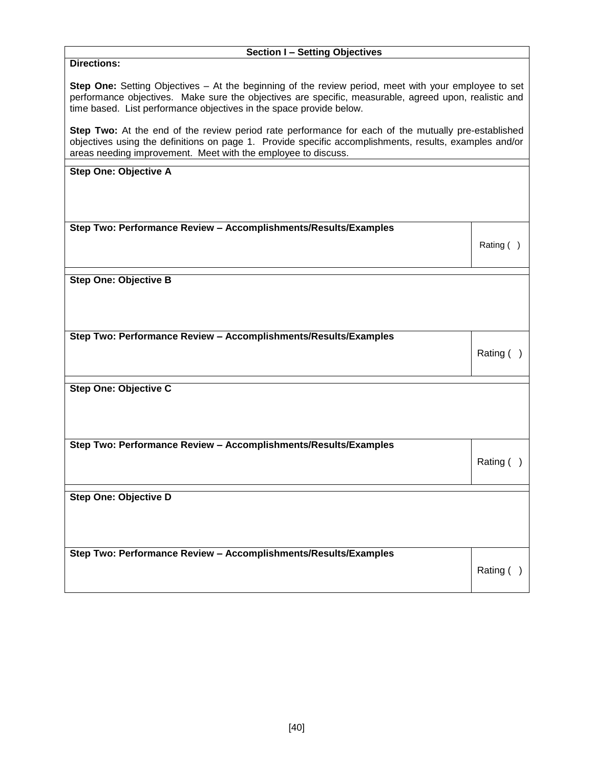# **Section I – Setting Objectives Directions: Step One:** Setting Objectives – At the beginning of the review period, meet with your employee to set performance objectives. Make sure the objectives are specific, measurable, agreed upon, realistic and time based. List performance objectives in the space provide below. **Step Two:** At the end of the review period rate performance for each of the mutually pre-established objectives using the definitions on page 1. Provide specific accomplishments, results, examples and/or areas needing improvement. Meet with the employee to discuss. **Step One: Objective A Step Two: Performance Review – Accomplishments/Results/Examples** Rating ( ) **Step One: Objective B Step Two: Performance Review – Accomplishments/Results/Examples** Rating ( ) **Step One: Objective C Step Two: Performance Review – Accomplishments/Results/Examples** Rating ( ) **Step One: Objective D Step Two: Performance Review – Accomplishments/Results/Examples** Rating ( )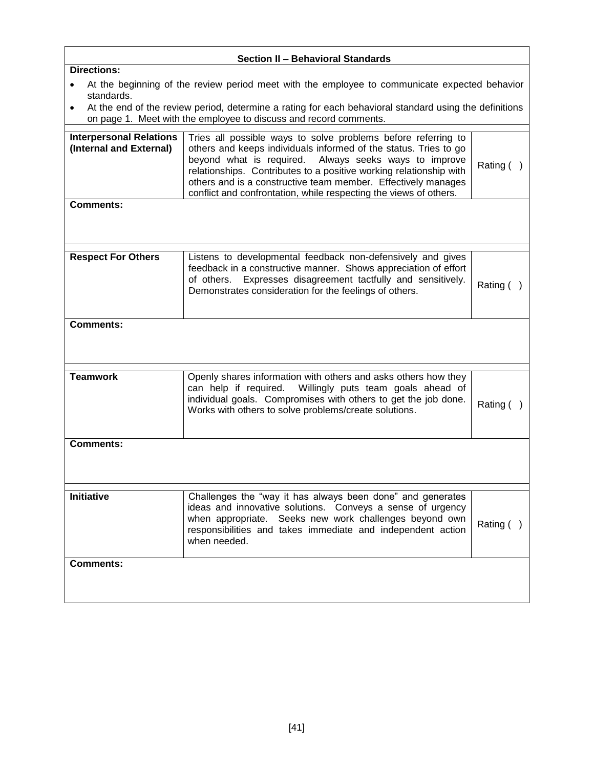| <b>Section II - Behavioral Standards</b>                  |                                                                                                                                                                                                                                                                                                                                                                                                        |              |  |  |  |
|-----------------------------------------------------------|--------------------------------------------------------------------------------------------------------------------------------------------------------------------------------------------------------------------------------------------------------------------------------------------------------------------------------------------------------------------------------------------------------|--------------|--|--|--|
| <b>Directions:</b>                                        |                                                                                                                                                                                                                                                                                                                                                                                                        |              |  |  |  |
| standards.<br>٠                                           | At the beginning of the review period meet with the employee to communicate expected behavior<br>At the end of the review period, determine a rating for each behavioral standard using the definitions                                                                                                                                                                                                |              |  |  |  |
|                                                           | on page 1. Meet with the employee to discuss and record comments.                                                                                                                                                                                                                                                                                                                                      |              |  |  |  |
| <b>Interpersonal Relations</b><br>(Internal and External) | Tries all possible ways to solve problems before referring to<br>others and keeps individuals informed of the status. Tries to go<br>beyond what is required. Always seeks ways to improve<br>relationships. Contributes to a positive working relationship with<br>others and is a constructive team member. Effectively manages<br>conflict and confrontation, while respecting the views of others. | Rating ()    |  |  |  |
| <b>Comments:</b>                                          |                                                                                                                                                                                                                                                                                                                                                                                                        |              |  |  |  |
|                                                           |                                                                                                                                                                                                                                                                                                                                                                                                        |              |  |  |  |
| <b>Respect For Others</b>                                 | Listens to developmental feedback non-defensively and gives<br>feedback in a constructive manner. Shows appreciation of effort<br>Expresses disagreement tactfully and sensitively.<br>of others.<br>Demonstrates consideration for the feelings of others.                                                                                                                                            | Rating ()    |  |  |  |
| Comments:                                                 |                                                                                                                                                                                                                                                                                                                                                                                                        |              |  |  |  |
| <b>Teamwork</b>                                           | Openly shares information with others and asks others how they<br>can help if required. Willingly puts team goals ahead of<br>individual goals. Compromises with others to get the job done.<br>Works with others to solve problems/create solutions.                                                                                                                                                  | Rating ()    |  |  |  |
| <b>Comments:</b>                                          |                                                                                                                                                                                                                                                                                                                                                                                                        |              |  |  |  |
|                                                           |                                                                                                                                                                                                                                                                                                                                                                                                        |              |  |  |  |
| <b>Initiative</b>                                         | Challenges the "way it has always been done" and generates<br>ideas and innovative solutions. Conveys a sense of urgency<br>when appropriate. Seeks new work challenges beyond own<br>responsibilities and takes immediate and independent action<br>when needed.                                                                                                                                      | Rating $( )$ |  |  |  |
| <b>Comments:</b>                                          |                                                                                                                                                                                                                                                                                                                                                                                                        |              |  |  |  |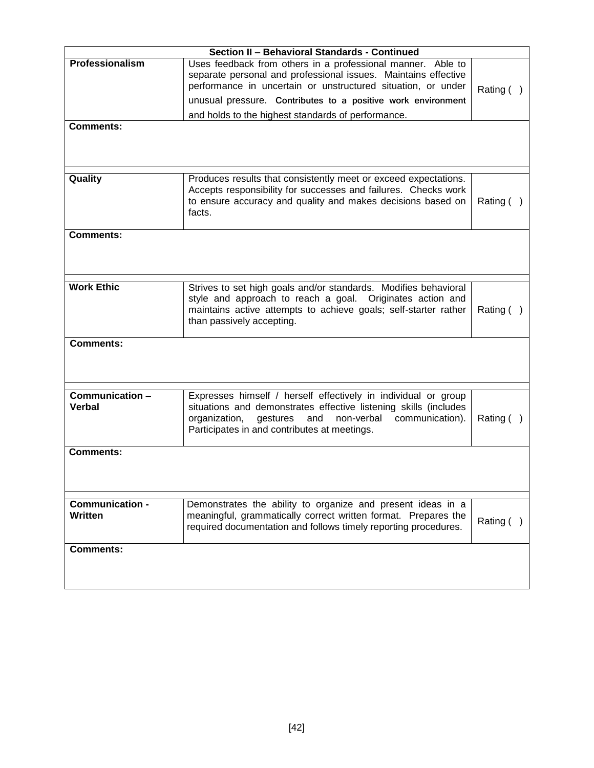|                            | Section II - Behavioral Standards - Continued                                                                                                                                                                                                                                                                       |              |
|----------------------------|---------------------------------------------------------------------------------------------------------------------------------------------------------------------------------------------------------------------------------------------------------------------------------------------------------------------|--------------|
| Professionalism            | Uses feedback from others in a professional manner. Able to<br>separate personal and professional issues. Maintains effective<br>performance in uncertain or unstructured situation, or under<br>unusual pressure. Contributes to a positive work environment<br>and holds to the highest standards of performance. | Rating $( )$ |
| <b>Comments:</b>           |                                                                                                                                                                                                                                                                                                                     |              |
| Quality                    | Produces results that consistently meet or exceed expectations.<br>Accepts responsibility for successes and failures. Checks work<br>to ensure accuracy and quality and makes decisions based on<br>facts.                                                                                                          | Rating $( )$ |
| <b>Comments:</b>           |                                                                                                                                                                                                                                                                                                                     |              |
| <b>Work Ethic</b>          | Strives to set high goals and/or standards. Modifies behavioral<br>style and approach to reach a goal. Originates action and<br>maintains active attempts to achieve goals; self-starter rather<br>than passively accepting.                                                                                        | Rating $( )$ |
| <b>Comments:</b>           |                                                                                                                                                                                                                                                                                                                     |              |
| Communication -<br>Verbal  | Expresses himself / herself effectively in individual or group<br>situations and demonstrates effective listening skills (includes<br>organization,<br>gestures<br>and<br>non-verbal<br>communication).<br>Participates in and contributes at meetings.                                                             | Rating $( )$ |
| <b>Comments:</b>           |                                                                                                                                                                                                                                                                                                                     |              |
| Communication -<br>Written | Demonstrates the ability to organize and present ideas in a<br>meaningful, grammatically correct written format. Prepares the<br>required documentation and follows timely reporting procedures.                                                                                                                    | Rating $( )$ |
| <b>Comments:</b>           |                                                                                                                                                                                                                                                                                                                     |              |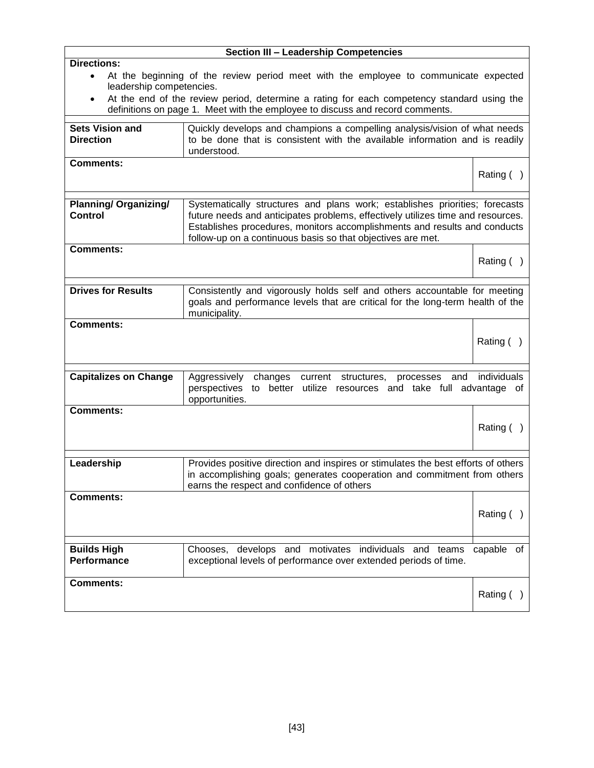|                                                                          | <b>Section III - Leadership Competencies</b>                                                                                                                                                                                                                                                               |              |
|--------------------------------------------------------------------------|------------------------------------------------------------------------------------------------------------------------------------------------------------------------------------------------------------------------------------------------------------------------------------------------------------|--------------|
| <b>Directions:</b><br>$\bullet$<br>leadership competencies.<br>$\bullet$ | At the beginning of the review period meet with the employee to communicate expected<br>At the end of the review period, determine a rating for each competency standard using the<br>definitions on page 1. Meet with the employee to discuss and record comments.                                        |              |
| <b>Sets Vision and</b><br><b>Direction</b>                               | Quickly develops and champions a compelling analysis/vision of what needs<br>to be done that is consistent with the available information and is readily<br>understood.                                                                                                                                    |              |
| <b>Comments:</b>                                                         |                                                                                                                                                                                                                                                                                                            | Rating ()    |
| <b>Planning/ Organizing/</b><br><b>Control</b>                           | Systematically structures and plans work; establishes priorities; forecasts<br>future needs and anticipates problems, effectively utilizes time and resources.<br>Establishes procedures, monitors accomplishments and results and conducts<br>follow-up on a continuous basis so that objectives are met. |              |
| <b>Comments:</b>                                                         |                                                                                                                                                                                                                                                                                                            | Rating ()    |
| <b>Drives for Results</b>                                                | Consistently and vigorously holds self and others accountable for meeting<br>goals and performance levels that are critical for the long-term health of the<br>municipality.                                                                                                                               |              |
| <b>Comments:</b>                                                         |                                                                                                                                                                                                                                                                                                            | Rating ()    |
| <b>Capitalizes on Change</b>                                             | Aggressively<br>changes<br>current<br>structures,<br>and<br>processes<br>perspectives<br>to better utilize resources and take full advantage of<br>opportunities.                                                                                                                                          | individuals  |
| <b>Comments:</b>                                                         |                                                                                                                                                                                                                                                                                                            | Rating $( )$ |
| Leadership                                                               | Provides positive direction and inspires or stimulates the best efforts of others<br>in accomplishing goals; generates cooperation and commitment from others<br>earns the respect and confidence of others                                                                                                |              |
| <b>Comments:</b>                                                         |                                                                                                                                                                                                                                                                                                            | Rating ()    |
| <b>Builds High</b><br>Performance                                        | Chooses, develops and motivates individuals and teams<br>exceptional levels of performance over extended periods of time.                                                                                                                                                                                  | capable of   |
| <b>Comments:</b>                                                         |                                                                                                                                                                                                                                                                                                            | Rating ()    |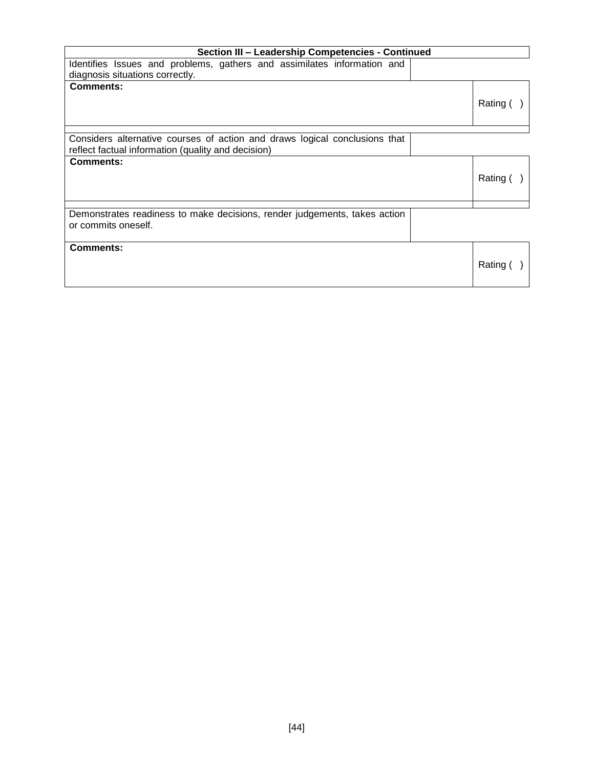| Section III - Leadership Competencies - Continued                                                          |          |
|------------------------------------------------------------------------------------------------------------|----------|
| Identifies Issues and problems, gathers and assimilates information and<br>diagnosis situations correctly. |          |
| <b>Comments:</b>                                                                                           | Rating ( |
| Considers alternative courses of action and draws logical conclusions that                                 |          |
| reflect factual information (quality and decision)                                                         |          |
| <b>Comments:</b>                                                                                           | Rating ( |
| Demonstrates readiness to make decisions, render judgements, takes action<br>or commits oneself.           |          |
| <b>Comments:</b>                                                                                           | Rating ( |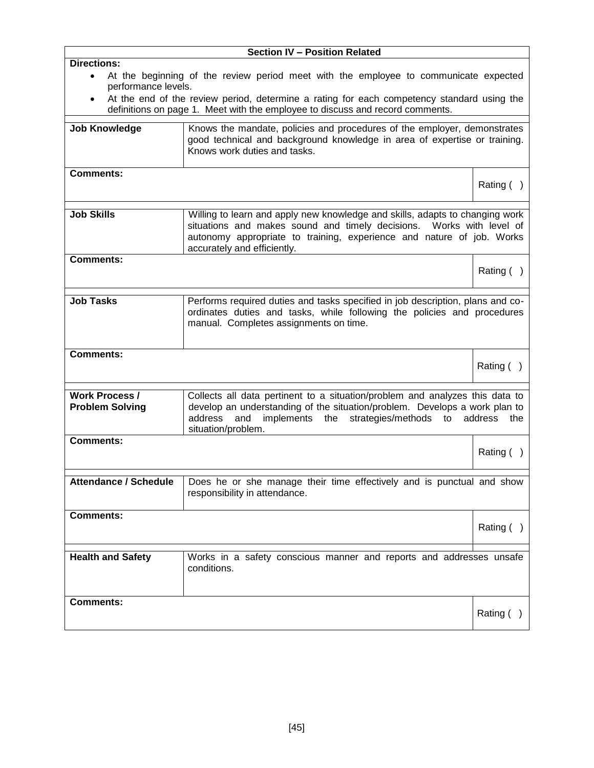|                                  | <b>Section IV - Position Related</b>                                                                                                                                                                |                |
|----------------------------------|-----------------------------------------------------------------------------------------------------------------------------------------------------------------------------------------------------|----------------|
| <b>Directions:</b>               |                                                                                                                                                                                                     |                |
| $\bullet$<br>performance levels. | At the beginning of the review period meet with the employee to communicate expected                                                                                                                |                |
| $\bullet$                        | At the end of the review period, determine a rating for each competency standard using the                                                                                                          |                |
|                                  | definitions on page 1. Meet with the employee to discuss and record comments.                                                                                                                       |                |
| <b>Job Knowledge</b>             | Knows the mandate, policies and procedures of the employer, demonstrates                                                                                                                            |                |
|                                  | good technical and background knowledge in area of expertise or training.<br>Knows work duties and tasks.                                                                                           |                |
| <b>Comments:</b>                 |                                                                                                                                                                                                     |                |
|                                  |                                                                                                                                                                                                     | Rating ()      |
| <b>Job Skills</b>                | Willing to learn and apply new knowledge and skills, adapts to changing work                                                                                                                        |                |
|                                  | situations and makes sound and timely decisions. Works with level of<br>autonomy appropriate to training, experience and nature of job. Works                                                       |                |
|                                  | accurately and efficiently.                                                                                                                                                                         |                |
| <b>Comments:</b>                 |                                                                                                                                                                                                     | Rating $( )$   |
|                                  |                                                                                                                                                                                                     |                |
| <b>Job Tasks</b>                 | Performs required duties and tasks specified in job description, plans and co-<br>ordinates duties and tasks, while following the policies and procedures<br>manual. Completes assignments on time. |                |
| <b>Comments:</b>                 |                                                                                                                                                                                                     |                |
|                                  |                                                                                                                                                                                                     | Rating $( )$   |
| <b>Work Process /</b>            | Collects all data pertinent to a situation/problem and analyzes this data to                                                                                                                        |                |
| <b>Problem Solving</b>           | develop an understanding of the situation/problem. Develops a work plan to<br>address<br>implements the<br>strategies/methods<br>and<br>to<br>situation/problem.                                    | address<br>the |
| <b>Comments:</b>                 |                                                                                                                                                                                                     |                |
|                                  |                                                                                                                                                                                                     | Rating $( )$   |
| <b>Attendance / Schedule</b>     | Does he or she manage their time effectively and is punctual and show                                                                                                                               |                |
|                                  | responsibility in attendance.                                                                                                                                                                       |                |
| <b>Comments:</b>                 |                                                                                                                                                                                                     |                |
|                                  |                                                                                                                                                                                                     | Rating $( )$   |
| <b>Health and Safety</b>         | Works in a safety conscious manner and reports and addresses unsafe                                                                                                                                 |                |
|                                  | conditions.                                                                                                                                                                                         |                |
|                                  |                                                                                                                                                                                                     |                |
| <b>Comments:</b>                 |                                                                                                                                                                                                     |                |
|                                  |                                                                                                                                                                                                     | Rating ()      |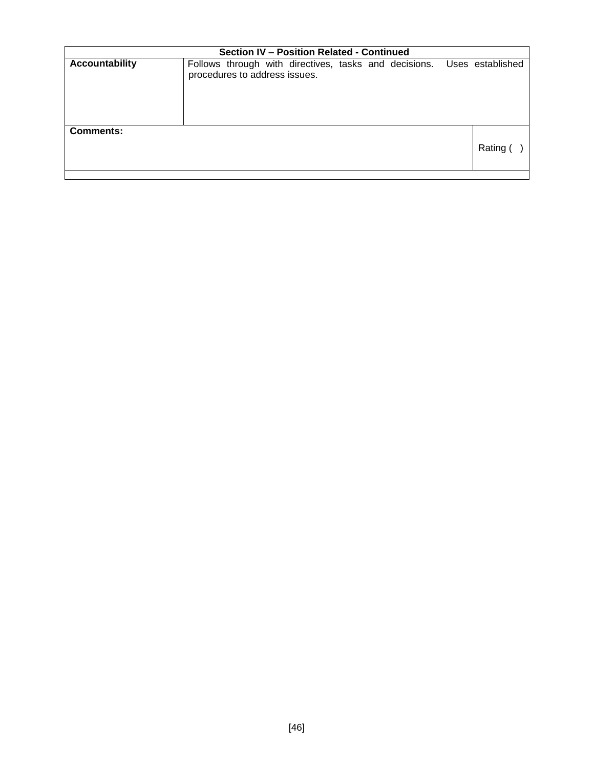|                       | Section IV - Position Related - Continued |                               |  |  |  |  |  |  |                                                                        |
|-----------------------|-------------------------------------------|-------------------------------|--|--|--|--|--|--|------------------------------------------------------------------------|
| <b>Accountability</b> |                                           | procedures to address issues. |  |  |  |  |  |  | Follows through with directives, tasks and decisions. Uses established |
| <b>Comments:</b>      |                                           |                               |  |  |  |  |  |  | Rating (                                                               |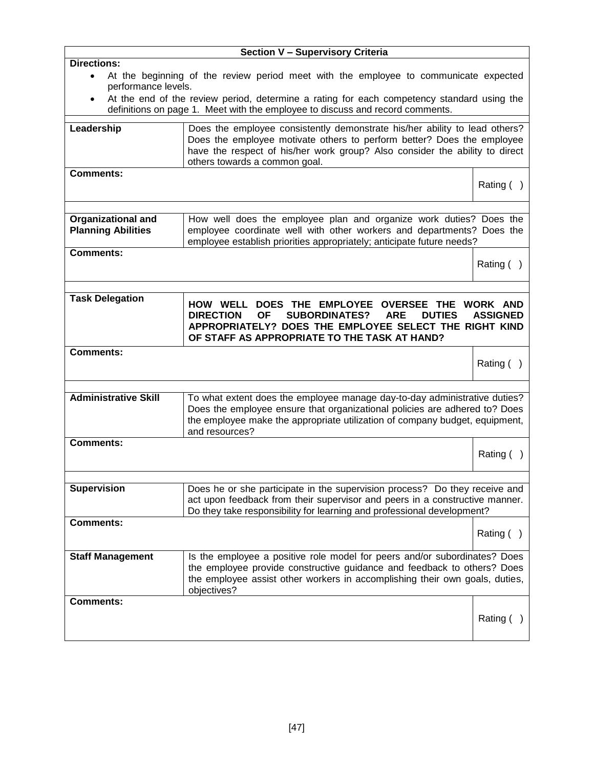|                             | Section V - Supervisory Criteria                                                                                                                                            |                 |
|-----------------------------|-----------------------------------------------------------------------------------------------------------------------------------------------------------------------------|-----------------|
| <b>Directions:</b>          |                                                                                                                                                                             |                 |
| $\bullet$                   | At the beginning of the review period meet with the employee to communicate expected                                                                                        |                 |
| performance levels.         |                                                                                                                                                                             |                 |
| $\bullet$                   | At the end of the review period, determine a rating for each competency standard using the<br>definitions on page 1. Meet with the employee to discuss and record comments. |                 |
|                             |                                                                                                                                                                             |                 |
| Leadership                  | Does the employee consistently demonstrate his/her ability to lead others?                                                                                                  |                 |
|                             | Does the employee motivate others to perform better? Does the employee<br>have the respect of his/her work group? Also consider the ability to direct                       |                 |
|                             | others towards a common goal.                                                                                                                                               |                 |
| <b>Comments:</b>            |                                                                                                                                                                             |                 |
|                             |                                                                                                                                                                             | Rating $( )$    |
|                             |                                                                                                                                                                             |                 |
|                             |                                                                                                                                                                             |                 |
| <b>Organizational and</b>   | How well does the employee plan and organize work duties? Does the                                                                                                          |                 |
| <b>Planning Abilities</b>   | employee coordinate well with other workers and departments? Does the<br>employee establish priorities appropriately; anticipate future needs?                              |                 |
| <b>Comments:</b>            |                                                                                                                                                                             |                 |
|                             |                                                                                                                                                                             | Rating $( )$    |
|                             |                                                                                                                                                                             |                 |
|                             |                                                                                                                                                                             |                 |
| <b>Task Delegation</b>      | DOES THE EMPLOYEE OVERSEE THE<br><b>HOW WELL</b>                                                                                                                            | <b>WORK AND</b> |
|                             | <b>DIRECTION</b><br><b>OF</b><br><b>SUBORDINATES?</b><br><b>ARE</b><br><b>DUTIES</b>                                                                                        | <b>ASSIGNED</b> |
|                             | APPROPRIATELY? DOES THE EMPLOYEE SELECT THE RIGHT KIND                                                                                                                      |                 |
|                             | OF STAFF AS APPROPRIATE TO THE TASK AT HAND?                                                                                                                                |                 |
| <b>Comments:</b>            |                                                                                                                                                                             |                 |
|                             |                                                                                                                                                                             | Rating $( )$    |
|                             |                                                                                                                                                                             |                 |
| <b>Administrative Skill</b> | To what extent does the employee manage day-to-day administrative duties?                                                                                                   |                 |
|                             | Does the employee ensure that organizational policies are adhered to? Does                                                                                                  |                 |
|                             | the employee make the appropriate utilization of company budget, equipment,                                                                                                 |                 |
|                             | and resources?                                                                                                                                                              |                 |
| <b>Comments:</b>            |                                                                                                                                                                             | Rating (        |
|                             |                                                                                                                                                                             |                 |
|                             |                                                                                                                                                                             |                 |
| <b>Supervision</b>          | Does he or she participate in the supervision process? Do they receive and                                                                                                  |                 |
|                             | act upon feedback from their supervisor and peers in a constructive manner.                                                                                                 |                 |
|                             | Do they take responsibility for learning and professional development?                                                                                                      |                 |
| <b>Comments:</b>            |                                                                                                                                                                             | Rating $( )$    |
|                             |                                                                                                                                                                             |                 |
| <b>Staff Management</b>     | Is the employee a positive role model for peers and/or subordinates? Does                                                                                                   |                 |
|                             | the employee provide constructive guidance and feedback to others? Does                                                                                                     |                 |
|                             | the employee assist other workers in accomplishing their own goals, duties,                                                                                                 |                 |
|                             | objectives?                                                                                                                                                                 |                 |
| <b>Comments:</b>            |                                                                                                                                                                             |                 |
|                             |                                                                                                                                                                             | Rating (        |
|                             |                                                                                                                                                                             |                 |
|                             |                                                                                                                                                                             |                 |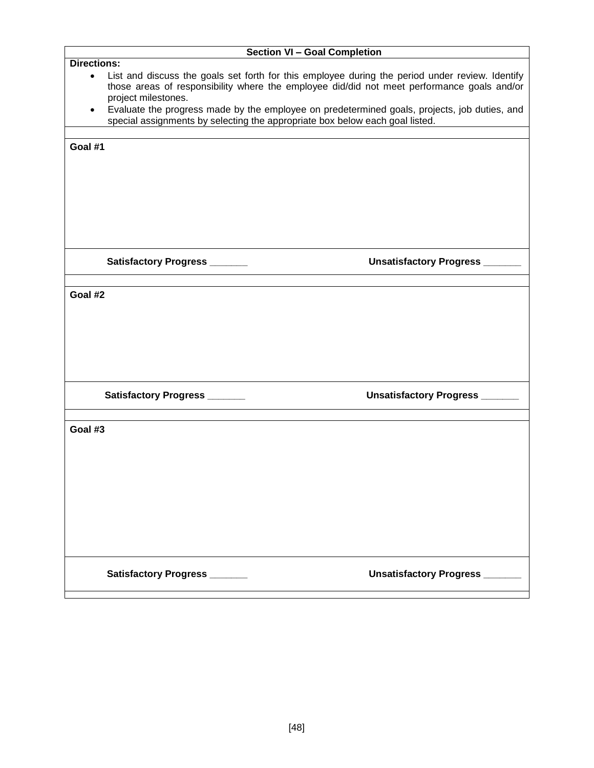|                    |                                                                              | <b>Section VI - Goal Completion</b>                                                                                                                                                           |
|--------------------|------------------------------------------------------------------------------|-----------------------------------------------------------------------------------------------------------------------------------------------------------------------------------------------|
| <b>Directions:</b> |                                                                              |                                                                                                                                                                                               |
| $\bullet$          | project milestones.                                                          | List and discuss the goals set forth for this employee during the period under review. Identify<br>those areas of responsibility where the employee did/did not meet performance goals and/or |
| $\bullet$          | special assignments by selecting the appropriate box below each goal listed. | Evaluate the progress made by the employee on predetermined goals, projects, job duties, and                                                                                                  |
|                    |                                                                              |                                                                                                                                                                                               |
| Goal #1            |                                                                              |                                                                                                                                                                                               |
|                    |                                                                              |                                                                                                                                                                                               |
|                    |                                                                              |                                                                                                                                                                                               |
|                    |                                                                              |                                                                                                                                                                                               |
|                    |                                                                              |                                                                                                                                                                                               |
|                    |                                                                              |                                                                                                                                                                                               |
|                    |                                                                              |                                                                                                                                                                                               |
|                    | Satisfactory Progress _______                                                | Unsatisfactory Progress _____                                                                                                                                                                 |
|                    |                                                                              |                                                                                                                                                                                               |
| Goal #2            |                                                                              |                                                                                                                                                                                               |
|                    |                                                                              |                                                                                                                                                                                               |
|                    |                                                                              |                                                                                                                                                                                               |
|                    |                                                                              |                                                                                                                                                                                               |
|                    |                                                                              |                                                                                                                                                                                               |
|                    |                                                                              |                                                                                                                                                                                               |
|                    | Satisfactory Progress ______                                                 | <b>Unsatisfactory Progress</b> ____                                                                                                                                                           |
|                    |                                                                              |                                                                                                                                                                                               |
| Goal #3            |                                                                              |                                                                                                                                                                                               |
|                    |                                                                              |                                                                                                                                                                                               |
|                    |                                                                              |                                                                                                                                                                                               |
|                    |                                                                              |                                                                                                                                                                                               |
|                    |                                                                              |                                                                                                                                                                                               |
|                    |                                                                              |                                                                                                                                                                                               |
|                    |                                                                              |                                                                                                                                                                                               |
|                    |                                                                              |                                                                                                                                                                                               |
|                    |                                                                              |                                                                                                                                                                                               |
|                    | Satisfactory Progress ______                                                 | Unsatisfactory Progress ______                                                                                                                                                                |
|                    |                                                                              |                                                                                                                                                                                               |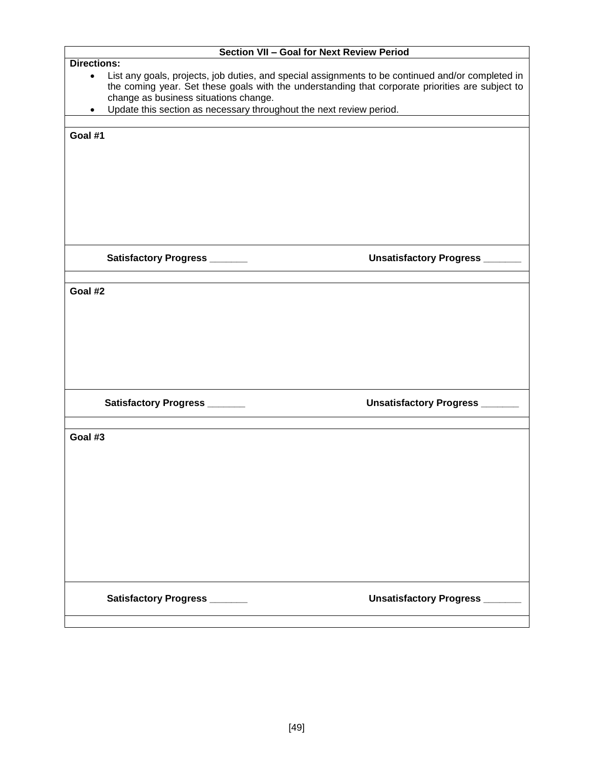| Section VII - Goal for Next Review Period                                                                                                                                                                                                                   |  |
|-------------------------------------------------------------------------------------------------------------------------------------------------------------------------------------------------------------------------------------------------------------|--|
| <b>Directions:</b>                                                                                                                                                                                                                                          |  |
| List any goals, projects, job duties, and special assignments to be continued and/or completed in<br>$\bullet$<br>the coming year. Set these goals with the understanding that corporate priorities are subject to<br>change as business situations change. |  |
| Update this section as necessary throughout the next review period.                                                                                                                                                                                         |  |
|                                                                                                                                                                                                                                                             |  |
| Goal #1                                                                                                                                                                                                                                                     |  |
|                                                                                                                                                                                                                                                             |  |
| Unsatisfactory Progress _______<br>Satisfactory Progress ______                                                                                                                                                                                             |  |
|                                                                                                                                                                                                                                                             |  |
| Goal #2                                                                                                                                                                                                                                                     |  |
| Unsatisfactory Progress ______<br>Satisfactory Progress ______                                                                                                                                                                                              |  |
| Goal #3                                                                                                                                                                                                                                                     |  |
| Unsatisfactory Progress _______<br>Satisfactory Progress ______                                                                                                                                                                                             |  |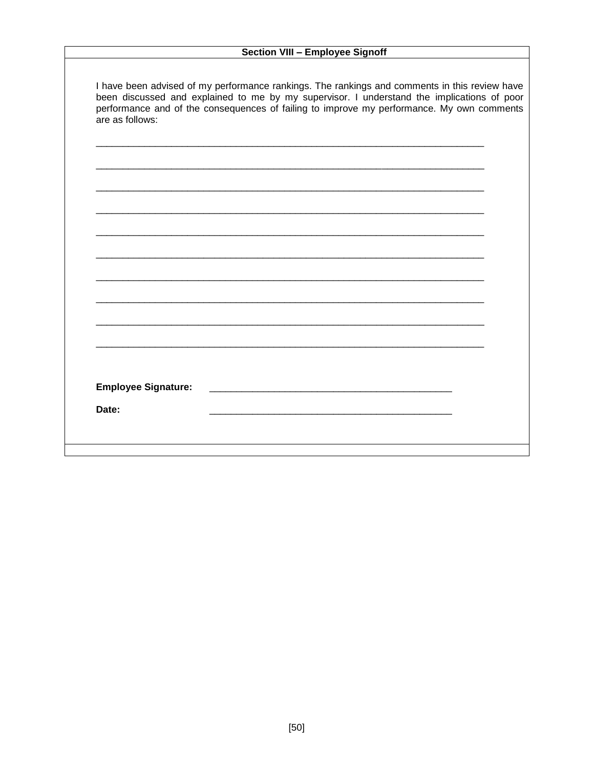### Section VIII - Employee Signoff

| I have been advised of my performance rankings. The rankings and comments in this review have |
|-----------------------------------------------------------------------------------------------|
| been discussed and explained to me by my supervisor. I understand the implications of poor    |
| performance and of the consequences of failing to improve my performance. My own comments     |
| are as follows:                                                                               |

| <b>Employee Signature:</b> |                                                                                                                        |  |  |
|----------------------------|------------------------------------------------------------------------------------------------------------------------|--|--|
|                            |                                                                                                                        |  |  |
| Date:                      | <u> 1980 - Jan Samuel Barbara, marka a shekara ta 1980 ha a shekara ta 1980 ha a shekara ta 1980 ha a shekara ta 1</u> |  |  |
|                            |                                                                                                                        |  |  |